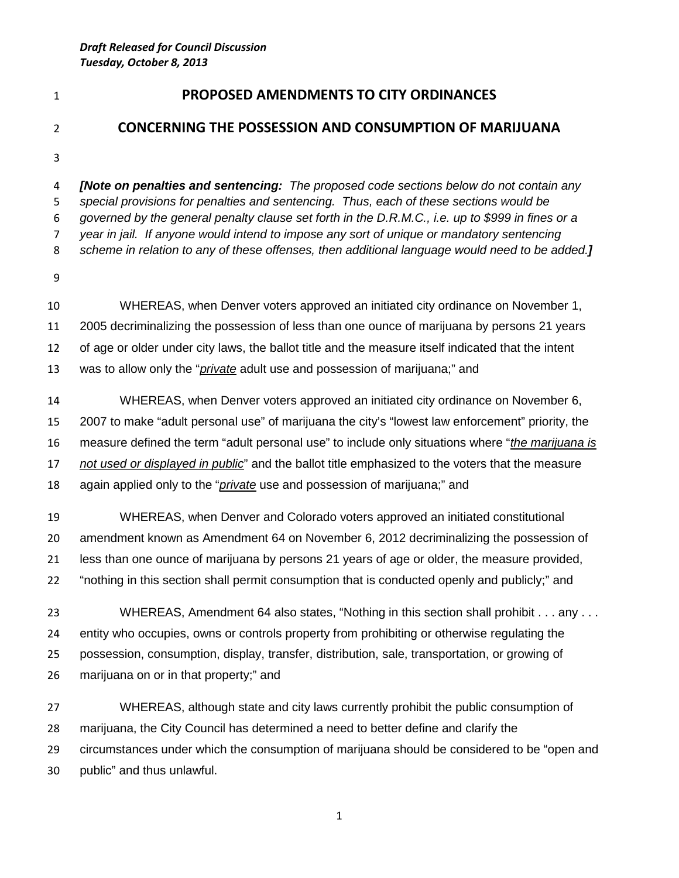## **PROPOSED AMENDMENTS TO CITY ORDINANCES**

## **CONCERNING THE POSSESSION AND CONSUMPTION OF MARIJUANA**

 *[Note on penalties and sentencing: The proposed code sections below do not contain any special provisions for penalties and sentencing. Thus, each of these sections would be governed by the general penalty clause set forth in the D.R.M.C., i.e. up to \$999 in fines or a year in jail. If anyone would intend to impose any sort of unique or mandatory sentencing scheme in relation to any of these offenses, then additional language would need to be added.]*

 WHEREAS, when Denver voters approved an initiated city ordinance on November 1, 2005 decriminalizing the possession of less than one ounce of marijuana by persons 21 years of age or older under city laws, the ballot title and the measure itself indicated that the intent was to allow only the "*private* adult use and possession of marijuana;" and

 WHEREAS, when Denver voters approved an initiated city ordinance on November 6, 2007 to make "adult personal use" of marijuana the city's "lowest law enforcement" priority, the measure defined the term "adult personal use" to include only situations where "*the marijuana is not used or displayed in public*" and the ballot title emphasized to the voters that the measure again applied only to the "*private* use and possession of marijuana;" and

 WHEREAS, when Denver and Colorado voters approved an initiated constitutional amendment known as Amendment 64 on November 6, 2012 decriminalizing the possession of less than one ounce of marijuana by persons 21 years of age or older, the measure provided, "nothing in this section shall permit consumption that is conducted openly and publicly;" and

 WHEREAS, Amendment 64 also states, "Nothing in this section shall prohibit . . . any . . . entity who occupies, owns or controls property from prohibiting or otherwise regulating the possession, consumption, display, transfer, distribution, sale, transportation, or growing of marijuana on or in that property;" and

 WHEREAS, although state and city laws currently prohibit the public consumption of marijuana, the City Council has determined a need to better define and clarify the circumstances under which the consumption of marijuana should be considered to be "open and public" and thus unlawful.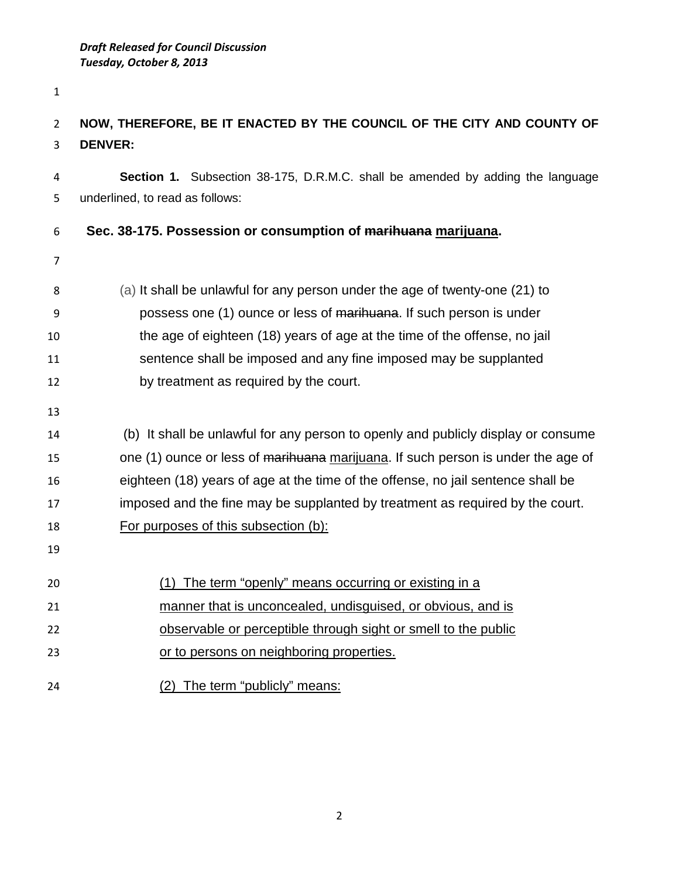## **NOW, THEREFORE, BE IT ENACTED BY THE COUNCIL OF THE CITY AND COUNTY OF DENVER:**

 **Section 1.** Subsection 38-175, D.R.M.C. shall be amended by adding the language underlined, to read as follows:

## **Sec. 38-175. Possession or consumption of marihuana marijuana.**

- 
- (a) It shall be unlawful for any person under the age of twenty-one (21) to possess one (1) ounce or less of marihuana. If such person is under the age of eighteen (18) years of age at the time of the offense, no jail sentence shall be imposed and any fine imposed may be supplanted by treatment as required by the court.
- 

 (b) It shall be unlawful for any person to openly and publicly display or consume 15 one (1) ounce or less of marihuana marijuana. If such person is under the age of eighteen (18) years of age at the time of the offense, no jail sentence shall be

imposed and the fine may be supplanted by treatment as required by the court.

- For purposes of this subsection (b):
- (1) The term "openly" means occurring or existing in a
- manner that is unconcealed, undisguised, or obvious, and is
- observable or perceptible through sight or smell to the public
- 23 or to persons on neighboring properties.
- (2) The term "publicly" means: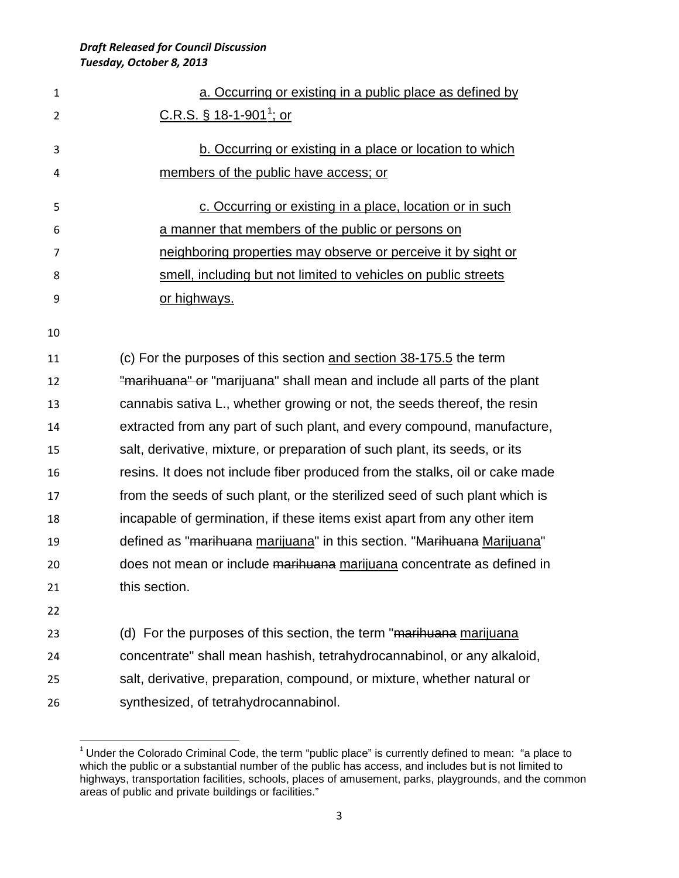| $\mathbf{1}$   | a. Occurring or existing in a public place as defined by                     |
|----------------|------------------------------------------------------------------------------|
| $\overline{2}$ | <u>C.R.S. § 18-1-901<sup>1</sup>; or</u>                                     |
| 3              | b. Occurring or existing in a place or location to which                     |
| 4              | members of the public have access; or                                        |
| 5              | c. Occurring or existing in a place, location or in such                     |
| 6              | a manner that members of the public or persons on                            |
| 7              | neighboring properties may observe or perceive it by sight or                |
| 8              | smell, including but not limited to vehicles on public streets               |
| 9              | or highways.                                                                 |
| 10             |                                                                              |
| 11             | (c) For the purposes of this section and section 38-175.5 the term           |
| 12             | "marihuana" or "marijuana" shall mean and include all parts of the plant     |
| 13             | cannabis sativa L., whether growing or not, the seeds thereof, the resin     |
| 14             | extracted from any part of such plant, and every compound, manufacture,      |
| 15             | salt, derivative, mixture, or preparation of such plant, its seeds, or its   |
| 16             | resins. It does not include fiber produced from the stalks, oil or cake made |
| 17             | from the seeds of such plant, or the sterilized seed of such plant which is  |
| 18             | incapable of germination, if these items exist apart from any other item     |
| 19             | defined as "marihuana marijuana" in this section. "Marihuana Marijuana"      |
| 20             | does not mean or include marihuana marijuana concentrate as defined in       |
| 21             | this section.                                                                |
| 22             |                                                                              |
| วว             | $(d)$ For the nurneses of this section the term "maribuang marijuang"        |

23 (d) For the purposes of this section, the term "<del>marihuana</del> marijuana concentrate" shall mean hashish, tetrahydrocannabinol, or any alkaloid, salt, derivative, preparation, compound, or mixture, whether natural or synthesized, of tetrahydrocannabinol.

<span id="page-2-0"></span><sup>&</sup>lt;sup>1</sup> Under the Colorado Criminal Code, the term "public place" is currently defined to mean: "a place to which the public or a substantial number of the public has access, and includes but is not limited to highways, transportation facilities, schools, places of amusement, parks, playgrounds, and the common areas of public and private buildings or facilities."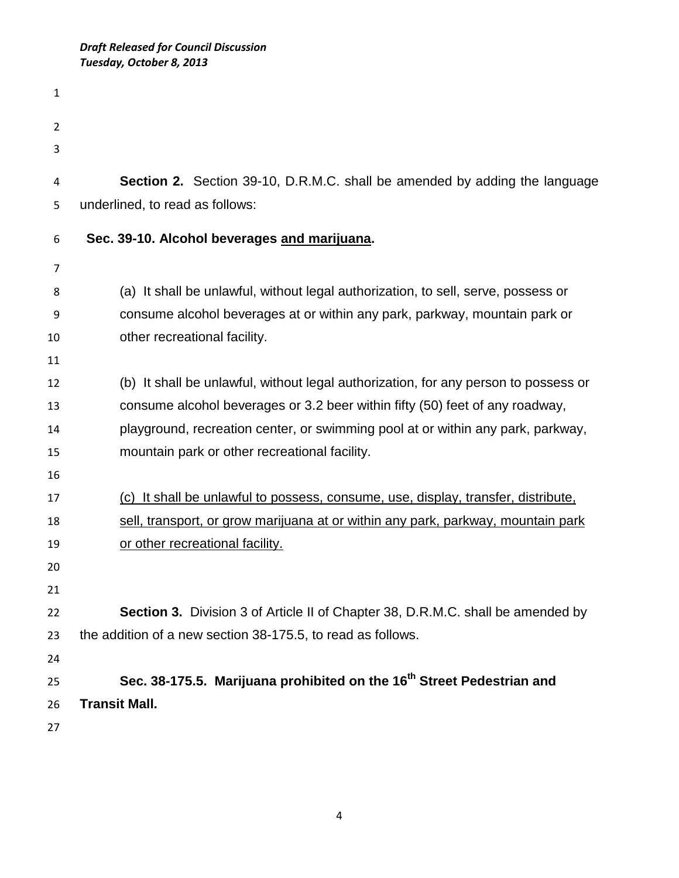| 1  |                                                                                     |
|----|-------------------------------------------------------------------------------------|
| 2  |                                                                                     |
| 3  |                                                                                     |
| 4  | <b>Section 2.</b> Section 39-10, D.R.M.C. shall be amended by adding the language   |
| 5  | underlined, to read as follows:                                                     |
| 6  | Sec. 39-10. Alcohol beverages and marijuana.                                        |
| 7  |                                                                                     |
| 8  | (a) It shall be unlawful, without legal authorization, to sell, serve, possess or   |
| 9  | consume alcohol beverages at or within any park, parkway, mountain park or          |
| 10 | other recreational facility.                                                        |
| 11 |                                                                                     |
| 12 | (b) It shall be unlawful, without legal authorization, for any person to possess or |
| 13 | consume alcohol beverages or 3.2 beer within fifty (50) feet of any roadway,        |
| 14 | playground, recreation center, or swimming pool at or within any park, parkway,     |
| 15 | mountain park or other recreational facility.                                       |
| 16 |                                                                                     |
| 17 | (c) It shall be unlawful to possess, consume, use, display, transfer, distribute,   |
| 18 | sell, transport, or grow marijuana at or within any park, parkway, mountain park    |
| 19 | or other recreational facility.                                                     |
| 20 |                                                                                     |
| 21 |                                                                                     |
| 22 | Section 3. Division 3 of Article II of Chapter 38, D.R.M.C. shall be amended by     |
| 23 | the addition of a new section 38-175.5, to read as follows.                         |
| 24 |                                                                                     |
| 25 | Sec. 38-175.5. Marijuana prohibited on the 16 <sup>th</sup> Street Pedestrian and   |
| 26 | <b>Transit Mall.</b>                                                                |
| 27 |                                                                                     |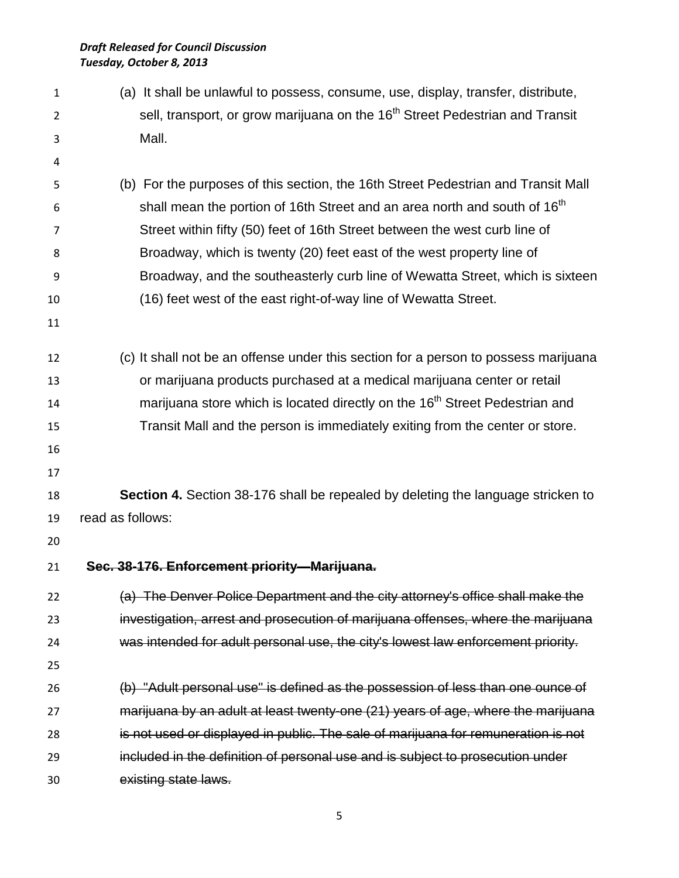(a) It shall be unlawful to possess, consume, use, display, transfer, distribute, sell, transport, or grow marijuana on the 16<sup>th</sup> Street Pedestrian and Transit Mall. (b) For the purposes of this section, the 16th Street Pedestrian and Transit Mall  $\epsilon$  shall mean the portion of 16th Street and an area north and south of 16<sup>th</sup> Street within fifty (50) feet of 16th Street between the west curb line of Broadway, which is twenty (20) feet east of the west property line of Broadway, and the southeasterly curb line of Wewatta Street, which is sixteen (16) feet west of the east right-of-way line of Wewatta Street. (c) It shall not be an offense under this section for a person to possess marijuana or marijuana products purchased at a medical marijuana center or retail 14 marijuana store which is located directly on the  $16<sup>th</sup>$  Street Pedestrian and Transit Mall and the person is immediately exiting from the center or store. **Section 4.** Section 38-176 shall be repealed by deleting the language stricken to read as follows: **Sec. 38-176. Enforcement priority—Marijuana.** (a) The Denver Police Department and the city attorney's office shall make the investigation, arrest and prosecution of marijuana offenses, where the marijuana was intended for adult personal use, the city's lowest law enforcement priority. (b) "Adult personal use" is defined as the possession of less than one ounce of marijuana by an adult at least twenty-one (21) years of age, where the marijuana is not used or displayed in public. The sale of marijuana for remuneration is not included in the definition of personal use and is subject to prosecution under existing state laws.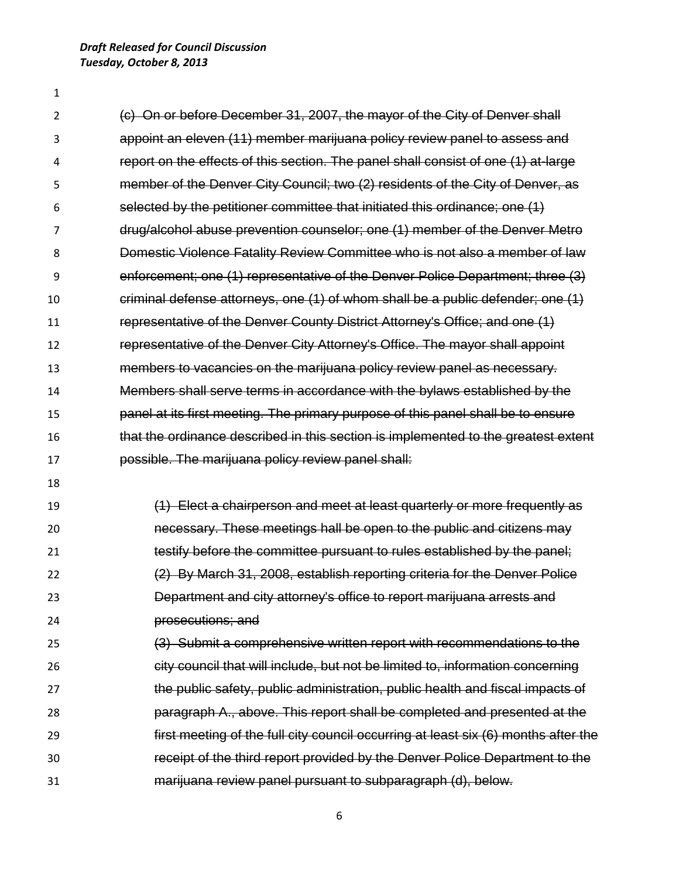*Draft Released for Council Discussion Tuesday, October 8, 2013*

 (c) On or before December 31, 2007, the mayor of the City of Denver shall appoint an eleven (11) member marijuana policy review panel to assess and report on the effects of this section. The panel shall consist of one (1) at-large member of the Denver City Council; two (2) residents of the City of Denver, as selected by the petitioner committee that initiated this ordinance; one (1) drug/alcohol abuse prevention counselor; one (1) member of the Denver Metro Domestic Violence Fatality Review Committee who is not also a member of law enforcement; one (1) representative of the Denver Police Department; three (3) criminal defense attorneys, one (1) of whom shall be a public defender; one (1) representative of the Denver County District Attorney's Office; and one (1) representative of the Denver City Attorney's Office. The mayor shall appoint members to vacancies on the marijuana policy review panel as necessary. Members shall serve terms in accordance with the bylaws established by the panel at its first meeting. The primary purpose of this panel shall be to ensure that the ordinance described in this section is implemented to the greatest extent possible. The marijuana policy review panel shall: (1) Elect a chairperson and meet at least quarterly or more frequently as necessary. These meetings hall be open to the public and citizens may testify before the committee pursuant to rules established by the panel; (2) By March 31, 2008, establish reporting criteria for the Denver Police Department and city attorney's office to report marijuana arrests and prosecutions; and (3) Submit a comprehensive written report with recommendations to the city council that will include, but not be limited to, information concerning the public safety, public administration, public health and fiscal impacts of paragraph A., above. This report shall be completed and presented at the first meeting of the full city council occurring at least six (6) months after the receipt of the third report provided by the Denver Police Department to the marijuana review panel pursuant to subparagraph (d), below.